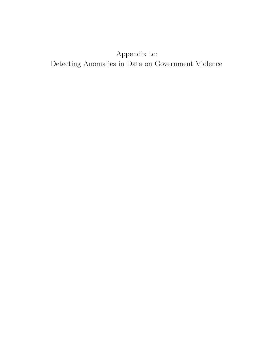## Appendix to: Detecting Anomalies in Data on Government Violence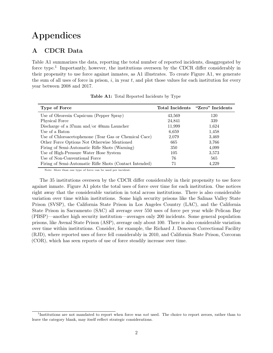#### A CDCR Data

Table [A1](#page-1-0) summarizes the data, reporting the total number of reported incidents, disaggregated by force type.<sup>[1](#page-1-1)</sup> Importantly, however, the institutions overseen by the CDCR differ considerably in their propensity to use force against inmates, as [A1](#page-2-0) illustrates. To create Figure A1, we generate the sum of all uses of force in prison,  $i$ , in year  $t$ , and plot those values for each institution for every year between 2008 and 2017.

<span id="page-1-0"></span>

| Type of Force                                                |        | Total Incidents "Zero" Incidents |
|--------------------------------------------------------------|--------|----------------------------------|
| Use of Oleoresin Capsicum (Pepper Spray)                     | 43,569 | 120                              |
| Physical Force                                               | 24,841 | 339                              |
| Discharge of a $37 \text{mm}$ and/or $40 \text{mm}$ Launcher | 11,999 | 1,624                            |
| Use of a Baton                                               | 6,659  | 1,458                            |
| Use of Chloroacetophenone (Tear Gas or Chemical Cace)        | 2,079  | 3.469                            |
| Other Force Options Not Otherwise Mentioned                  | 665    | 3,766                            |
| Firing of Semi-Automatic Rifle Shots (Warning)               | 350    | 4,099                            |
| Use of High-Pressure Water Hose System                       | 105    | 3,573                            |
| Use of Non-Conventional Force                                | 76     | 565                              |
| Firing of Semi-Automatic Rifle Shots (Contact Intended)      | 71     | 4.229                            |

Table A1: Total Reported Incidents by Type

Note: More than one type of force can be used per incident.

The 35 institutions overseen by the CDCR differ considerably in their propensity to use force against inmate. Figure [A1](#page-2-0) plots the total uses of force over time for each institution. One notices right away that the considerable variation in total across institutions. There is also considerable variation over time within institutions. Some high security prisons like the Salinas Valley State Prison (SVSP), the California State Prison in Los Angeles Country (LAC), and the California State Prison in Sacramento (SAC) all average over 550 uses of force per year while Pelican Bay (PBSP)—another high security institution—averages only 200 incidents. Some general population prisons, like Avenal State Prison (ASP), average only about 100. There is also considerable variation over time within institutions. Consider, for example, the Richard J. Donovan Correctional Facility (RJD), where reported uses of force fell considerably in 2010, and California State Prison, Corcoran (COR), which has seen reports of use of force steadily increase over time.

<span id="page-1-1"></span><sup>&</sup>lt;sup>1</sup>Institutions are not mandated to report when force was not used. The choice to report zeroes, rather than to leave the category blank, may itself reflect strategic considerations.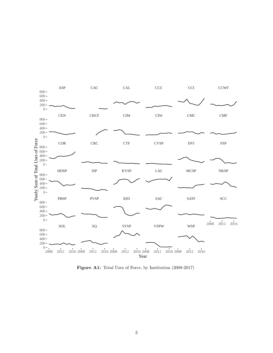<span id="page-2-0"></span>

Figure A1: Total Uses of Force, by Institution (2008-2017)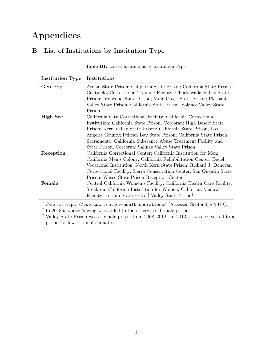### B List of Institutions by Institution Type

| <b>Institution Type</b> | Institutions                                                           |
|-------------------------|------------------------------------------------------------------------|
| Gen Pop                 | Avenal State Prison; Calipatria State Prison; California State Prison, |
|                         | Centinela; Correctional Training Facility; Chuckawalla Valley State    |
|                         | Prison; Ironwood State Prison; Mule Creek State Prison; Pleasant       |
|                         | Valley State Prison; California State Prison, Solano; Valley State     |
|                         | Prison                                                                 |
| High Sec                | California City Correctional Facility; California Correctional         |
|                         | Institution; California State Prison, Corcoran; High Desert State      |
|                         | Prison; Kern Valley State Prison; California State Prison, Los         |
|                         | Angeles County; Pelican Bay State Prison; California State Prison,     |
|                         | Sacramento; California Substance Abuse Treatment Facility and          |
|                         | State Prison, Corcoran; Salinas Valley State Prison                    |
| Reception               | California Correctional Center; California Institution for Men;        |
|                         | California Men's Colony; California Rehabilitation Center; Deuel       |
|                         | Vocational Institution; North Kern State Prison; Richard J. Donovan    |
|                         | Correctional Facility; Sierra Conservation Center; San Quentin State   |
|                         | Prison; Wasco State Prison-Reception Center                            |
| Female                  | Central California Women's Facility; California Health Care Facility,  |
|                         | Stockton; California Institution for Women; California Medical         |
|                         | Facility; Folsom State Prison, Valley State Prison <sup>‡</sup>        |

Table B1: List of Institutions by Institution Type

Source: <https://www.cdcr.ca.gov/adult-operations/> (Accessed September 2019).

† In 2013 a women's wing was added to the otherwise all male prison.

<sup>‡</sup> Valley State Prison was a female prison from 2008–2012. In 2013, it was converted to a prison for low-risk male inmates.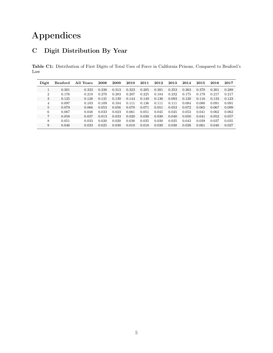### C Digit Distribution By Year

Table C1: Distribution of First Digits of Total Uses of Force in California Prisons, Compared to Benford's Law

| Digit          | Benford | All Years | 2008  | 2009  | 2010  | 2011  | 2012  | 2013  | 2014  | 2015  | 2016  | 2017  |
|----------------|---------|-----------|-------|-------|-------|-------|-------|-------|-------|-------|-------|-------|
|                | 0.301   | 0.333     | 0.338 | 0.313 | 0.323 | 0.285 | 0.381 | 0.353 | 0.363 | 0.378 | 0.301 | 0.289 |
| $\overline{2}$ | 0.176   | 0.219     | 0.278 | 0.283 | 0.207 | 0.225 | 0.184 | 0.232 | 0.175 | 0.179 | 0.217 | 0.217 |
| 3              | 0.125   | 0.128     | 0.131 | 0.139 | 0.144 | 0.149 | 0.136 | 0.093 | 0.120 | 0.116 | 0.133 | 0.123 |
| $\overline{4}$ | 0.097   | 0.103     | 0.109 | 0.104 | 0.111 | 0.136 | 0.111 | 0.111 | 0.084 | 0.080 | 0.091 | 0.091 |
| 5              | 0.079   | 0.066     | 0.053 | 0.056 | 0.078 | 0.071 | 0.051 | 0.053 | 0.072 | 0.065 | 0.067 | 0.099 |
| 6              | 0.067   | 0.048     | 0.033 | 0.023 | 0.061 | 0.051 | 0.045 | 0.045 | 0.053 | 0.041 | 0.062 | 0.062 |
| 7              | 0.058   | 0.037     | 0.013 | 0.033 | 0.020 | 0.030 | 0.030 | 0.040 | 0.050 | 0.041 | 0.052 | 0.057 |
| 8              | 0.051   | 0.033     | 0.020 | 0.020 | 0.038 | 0.035 | 0.030 | 0.035 | 0.043 | 0.039 | 0.037 | 0.035 |
| 9              | 0.046   | 0.033     | 0.025 | 0.030 | 0.018 | 0.018 | 0.030 | 0.038 | 0.038 | 0.061 | 0.040 | 0.027 |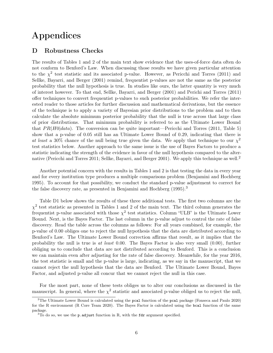#### D Robustness Checks

The results of Tables 1 and 2 of the main text show evidence that the uses-of-force data often do not conform to Benford's Law. When discussing those results we have given particular attention to the  $\chi^2$  test statistic and its associated p-value. However, as Pericchi and Torres (2011) and Sellke, Bayarri, and Berger (2001) remind, frequentist p-values are not the same as the posterior probability that the null hypothesis is true. In studies like ours, the latter quantity is very much of interest however. To that end, Sellke, Bayarri, and Berger (2001) and Perichi and Torres (2011) offer techniques to convert frequentist p-values to such posterior probabilities. We refer the interested reader to those articles for further discussion and mathematical derivations, but the essence of the technique is to apply a variety of Bayesian prior distributions to the problem and to then calculate the absolute minimum posterior probability that the null is true across that large class of prior distributions. That minimum probability is referred to as the Ultimate Lower Bound that  $PR(H0|data)$ . The conversion can be quite important—Pericchi and Torres (2011, Table 5) show that a p-value of 0.05 still has an Ultimate Lower Bound of 0.29, indicating that there is at least a 30% chance of the null being true given the data. We apply that technique to our  $\chi^2$ test statistics below. Another approach to the same issue is the use of Bayes Factors to produce a statistic indicating the strength of the evidence in favor of the null hypothesis compared to the alternative (Pericchi and Torres 2011; Sellke, Bayarri, and Berger 2001). We apply this technique as well.[2](#page-5-0)

Another potential concern with the results in Tables 1 and 2 is that testing the data in every year and for every institution type produces a multiple comparisons problem (Benjamini and Hochberg 1995). To account for that possibility, we conduct the standard p-value adjustment to correct for the false discovery rate, as presented in Benjamini and Hochberg (1995).[3](#page-5-1)

Table [D1](#page-6-0) below shows the results of these three additional tests. The first two columns are the  $\chi^2$  test statistic as presented in Tables 1 and 2 of the main text. The third column generates the frequentist p-value associated with those  $\chi^2$  test statistics. Column "ULB" is the Ultimate Lower Bound. Next, is the Bayes Factor. The last column in the p-value adjust to control the rate of false discovery. Read the table across the columns as follows: For all years combined, for example, the p-value of 0.00 obliges one to reject the null hypothesis that the data are distributed according to Benford's Law. The Ultimate Lower Bound correction affirms that result, as it implies that the probability the null is true is at least  $0.00$ . The Bayes Factor is also very small  $(0.00)$ , further obliging us to conclude that data are not distributed according to Benford. This is a conclusion we can maintain even after adjusting for the rate of false discovery. Meanwhile, for the year 2016, the test statistic is small and the p-value is large, indicating, as we say in the manuscript, that we cannot reject the null hypothesis that the data are Benford. The Ultimate Lower Bound, Bayes Factor, and adjusted p-value all concur that we cannot reject the null in this case.

For the most part, none of these tests obliges us to alter our conclusions as discussed in the manuscript. In general, where the  $\chi^2$  statistic and associated p-value obliged us to reject the null,

<span id="page-5-0"></span> $2$ The Ultimate Lower Bound is calculated using the pcal function of the pcal package (Fonseca and Paulo 2020) for the R environment (R Core Team 2020). The Bayes Factor is calculated using the bcal function of the same package.

<span id="page-5-1"></span> $3$ To do so, we use the p.adjust function in R, with the fdr argument specified.